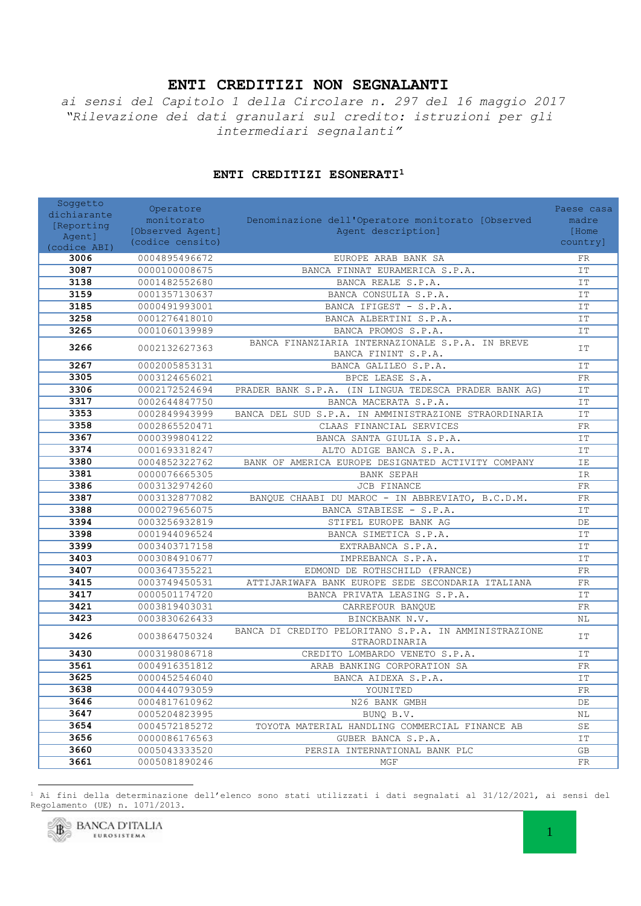## **ENTI CREDITIZI NON SEGNALANTI**

*ai sensi del Capitolo 1 della Circolare n. 297 del 16 maggio 2017 "Rilevazione dei dati granulari sul credito: istruzioni per gli intermediari segnalanti"*

| Soggetto<br>dichiarante | Operatore        |                                                                         | Paese casa          |
|-------------------------|------------------|-------------------------------------------------------------------------|---------------------|
| [Reporting              | monitorato       | Denominazione dell'Operatore monitorato [Observed                       | madre               |
| Agent]                  | [Observed Agent] | Agent description]                                                      | [Home               |
| (codice ABI)            | (codice censito) |                                                                         | country]            |
| 3006                    | 0004895496672    | EUROPE ARAB BANK SA                                                     | FR                  |
| 3087                    | 0000100008675    | BANCA FINNAT EURAMERICA S.P.A.                                          | IT                  |
| 3138                    | 0001482552680    | BANCA REALE S.P.A.                                                      | IT                  |
| 3159                    | 0001357130637    | BANCA CONSULIA S.P.A.                                                   | IT                  |
| 3185                    | 0000491993001    | BANCA IFIGEST - S.P.A.                                                  | IT                  |
| 3258                    | 0001276418010    | BANCA ALBERTINI S.P.A.                                                  | IT                  |
| 3265                    | 0001060139989    | BANCA PROMOS S.P.A.                                                     | IT                  |
| 3266                    | 0002132627363    | BANCA FINANZIARIA INTERNAZIONALE S.P.A. IN BREVE<br>BANCA FININT S.P.A. | IT                  |
| 3267                    | 0002005853131    | BANCA GALILEO S.P.A.                                                    | IT                  |
| 3305                    | 0003124656021    | BPCE LEASE S.A.                                                         | ${\rm FR}$          |
| 3306                    | 0002172524694    | PRADER BANK S.P.A. (IN LINGUA TEDESCA PRADER BANK AG)                   | IT                  |
| 3317                    | 0002644847750    | BANCA MACERATA S.P.A.                                                   | IT                  |
| 3353                    | 0002849943999    | BANCA DEL SUD S.P.A. IN AMMINISTRAZIONE STRAORDINARIA                   | IT                  |
| 3358                    | 0002865520471    | CLAAS FINANCIAL SERVICES                                                | ${\rm FR}$          |
| 3367                    | 0000399804122    | BANCA SANTA GIULIA S.P.A.                                               | IT                  |
| 3374                    | 0001693318247    | ALTO ADIGE BANCA S.P.A.                                                 | IT                  |
| 3380                    | 0004852322762    | BANK OF AMERICA EUROPE DESIGNATED ACTIVITY COMPANY                      | IE                  |
| 3381                    | 0000076665305    | BANK SEPAH                                                              | IR                  |
| 3386                    | 0003132974260    | JCB FINANCE                                                             | ${\rm FR}$          |
| 3387                    | 0003132877082    | BANQUE CHAABI DU MAROC - IN ABBREVIATO, B.C.D.M.                        | ${\rm FR}$          |
| 3388                    | 0000279656075    | BANCA STABIESE - S.P.A.                                                 | IT                  |
| 3394                    | 0003256932819    | STIFEL EUROPE BANK AG                                                   | $\rm DE$            |
| 3398                    | 0001944096524    | BANCA SIMETICA S.P.A.                                                   | IT                  |
| 3399                    | 0003403717158    | EXTRABANCA S.P.A.                                                       | IT                  |
| 3403                    | 0003084910677    | IMPREBANCA S.P.A.                                                       | IT                  |
| 3407                    | 0003647355221    | EDMOND DE ROTHSCHILD (FRANCE)                                           | ${\rm FR}$          |
| 3415                    | 0003749450531    | ATTIJARIWAFA BANK EUROPE SEDE SECONDARIA ITALIANA                       | ${\rm FR}$          |
| 3417                    | 0000501174720    | BANCA PRIVATA LEASING S.P.A.                                            | IT                  |
| 3421                    | 0003819403031    | CARREFOUR BANQUE                                                        | ${\rm FR}$          |
| 3423                    | 0003830626433    | BINCKBANK N.V.                                                          | $\rm NL$            |
| 3426                    | 0003864750324    | BANCA DI CREDITO PELORITANO S.P.A. IN AMMINISTRAZIONE<br>STRAORDINARIA  | IT                  |
| 3430                    | 0003198086718    | CREDITO LOMBARDO VENETO S.P.A.                                          | IT                  |
| 3561                    | 0004916351812    | ARAB BANKING CORPORATION SA                                             | FR                  |
| 3625                    | 0000452546040    | BANCA AIDEXA S.P.A.                                                     | IT                  |
| 3638                    | 0004440793059    | YOUNITED                                                                | FR                  |
| 3646                    | 0004817610962    | N26 BANK GMBH                                                           | $\rm{DE}$           |
| 3647                    | 0005204823995    | BUNQ B.V.                                                               | $\rm NL$            |
| 3654                    | 0004572185272    | TOYOTA MATERIAL HANDLING COMMERCIAL FINANCE AB                          | $\operatorname{SE}$ |
| 3656                    | 0000086176563    | GUBER BANCA S.P.A.                                                      | IT                  |
| 3660                    | 0005043333520    | PERSIA INTERNATIONAL BANK PLC                                           | GB                  |
| 3661                    | 0005081890246    | MGF                                                                     | ${\rm FR}$          |

## **ENTI CREDITIZI ESONERATI<sup>1</sup>**

 Ai fini della determinazione dell'elenco sono stati utilizzati i dati segnalati al 31/12/2021, ai sensi del Regolamento (UE) n. 1071/2013.



 $\overline{a}$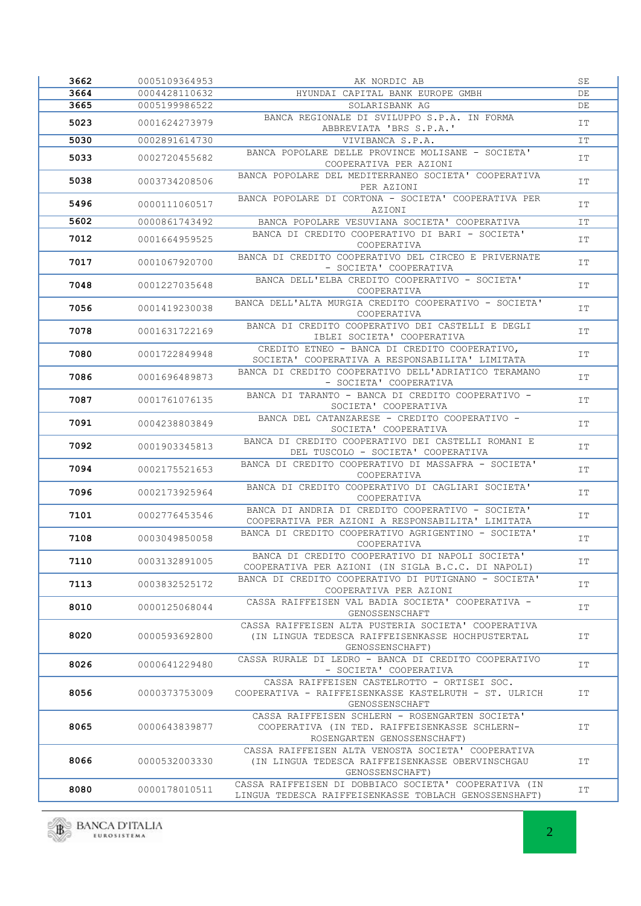| 3662 | 0005109364953 | AK NORDIC AB                                                                                                                    | SE |
|------|---------------|---------------------------------------------------------------------------------------------------------------------------------|----|
| 3664 | 0004428110632 | HYUNDAI CAPITAL BANK EUROPE GMBH                                                                                                | DE |
| 3665 | 0005199986522 | SOLARISBANK AG                                                                                                                  | DE |
| 5023 | 0001624273979 | BANCA REGIONALE DI SVILUPPO S.P.A. IN FORMA<br>ABBREVIATA 'BRS S.P.A.'                                                          | IT |
| 5030 | 0002891614730 | VIVIBANCA S.P.A.                                                                                                                | IT |
| 5033 | 0002720455682 | BANCA POPOLARE DELLE PROVINCE MOLISANE - SOCIETA'<br>COOPERATIVA PER AZIONI                                                     | IT |
| 5038 | 0003734208506 | BANCA POPOLARE DEL MEDITERRANEO SOCIETA' COOPERATIVA<br>PER AZIONI                                                              | IT |
| 5496 | 0000111060517 | BANCA POPOLARE DI CORTONA - SOCIETA' COOPERATIVA PER<br>AZIONI                                                                  | IT |
| 5602 | 0000861743492 | BANCA POPOLARE VESUVIANA SOCIETA' COOPERATIVA                                                                                   | IT |
| 7012 | 0001664959525 | BANCA DI CREDITO COOPERATIVO DI BARI - SOCIETA'<br>COOPERATIVA                                                                  | IT |
| 7017 | 0001067920700 | BANCA DI CREDITO COOPERATIVO DEL CIRCEO E PRIVERNATE<br>- SOCIETA' COOPERATIVA                                                  | IT |
| 7048 | 0001227035648 | BANCA DELL'ELBA CREDITO COOPERATIVO - SOCIETA'<br>COOPERATIVA                                                                   | IT |
| 7056 | 0001419230038 | BANCA DELL'ALTA MURGIA CREDITO COOPERATIVO - SOCIETA'<br>COOPERATIVA                                                            | IT |
| 7078 | 0001631722169 | BANCA DI CREDITO COOPERATIVO DEI CASTELLI E DEGLI<br>IBLEI SOCIETA' COOPERATIVA                                                 | IT |
| 7080 | 0001722849948 | CREDITO ETNEO - BANCA DI CREDITO COOPERATIVO,<br>SOCIETA' COOPERATIVA A RESPONSABILITA' LIMITATA                                | IT |
| 7086 | 0001696489873 | BANCA DI CREDITO COOPERATIVO DELL'ADRIATICO TERAMANO<br>- SOCIETA' COOPERATIVA                                                  | IT |
| 7087 | 0001761076135 | BANCA DI TARANTO - BANCA DI CREDITO COOPERATIVO -<br>SOCIETA' COOPERATIVA                                                       | IT |
| 7091 | 0004238803849 | BANCA DEL CATANZARESE - CREDITO COOPERATIVO -<br>SOCIETA' COOPERATIVA                                                           | IT |
| 7092 | 0001903345813 | BANCA DI CREDITO COOPERATIVO DEI CASTELLI ROMANI E<br>DEL TUSCOLO - SOCIETA' COOPERATIVA                                        | IT |
| 7094 | 0002175521653 | BANCA DI CREDITO COOPERATIVO DI MASSAFRA - SOCIETA'<br>COOPERATIVA                                                              | IT |
| 7096 | 0002173925964 | BANCA DI CREDITO COOPERATIVO DI CAGLIARI SOCIETA'<br>COOPERATIVA                                                                | IT |
| 7101 | 0002776453546 | BANCA DI ANDRIA DI CREDITO COOPERATIVO - SOCIETA'<br>COOPERATIVA PER AZIONI A RESPONSABILITA' LIMITATA                          | IT |
| 7108 | 0003049850058 | BANCA DI CREDITO COOPERATIVO AGRIGENTINO - SOCIETA'<br>COOPERATIVA                                                              | IT |
| 7110 | 0003132891005 | BANCA DI CREDITO COOPERATIVO DI NAPOLI SOCIETA'<br>COOPERATIVA PER AZIONI (IN SIGLA B.C.C. DI NAPOLI)                           | IT |
| 7113 | 0003832525172 | BANCA DI CREDITO COOPERATIVO DI PUTIGNANO - SOCIETA'<br>COOPERATIVA PER AZIONI                                                  | IT |
| 8010 | 0000125068044 | CASSA RAIFFEISEN VAL BADIA SOCIETA' COOPERATIVA -<br>GENOSSENSCHAFT                                                             | IT |
| 8020 | 0000593692800 | CASSA RAIFFEISEN ALTA PUSTERIA SOCIETA' COOPERATIVA<br>(IN LINGUA TEDESCA RAIFFEISENKASSE HOCHPUSTERTAL<br>GENOSSENSCHAFT)      | IT |
| 8026 | 0000641229480 | CASSA RURALE DI LEDRO - BANCA DI CREDITO COOPERATIVO<br>- SOCIETA' COOPERATIVA                                                  | IT |
| 8056 | 0000373753009 | CASSA RAIFFEISEN CASTELROTTO - ORTISEI SOC.<br>COOPERATIVA - RAIFFEISENKASSE KASTELRUTH - ST. ULRICH<br>GENOSSENSCHAFT          | IT |
| 8065 | 0000643839877 | CASSA RAIFFEISEN SCHLERN - ROSENGARTEN SOCIETA'<br>COOPERATIVA (IN TED. RAIFFEISENKASSE SCHLERN-<br>ROSENGARTEN GENOSSENSCHAFT) | IT |
| 8066 | 0000532003330 | CASSA RAIFFEISEN ALTA VENOSTA SOCIETA' COOPERATIVA<br>(IN LINGUA TEDESCA RAIFFEISENKASSE OBERVINSCHGAU<br>GENOSSENSCHAFT)       | IT |
| 8080 | 0000178010511 | CASSA RAIFFEISEN DI DOBBIACO SOCIETA' COOPERATIVA (IN<br>LINGUA TEDESCA RAIFFEISENKASSE TOBLACH GENOSSENSHAFT)                  | IT |

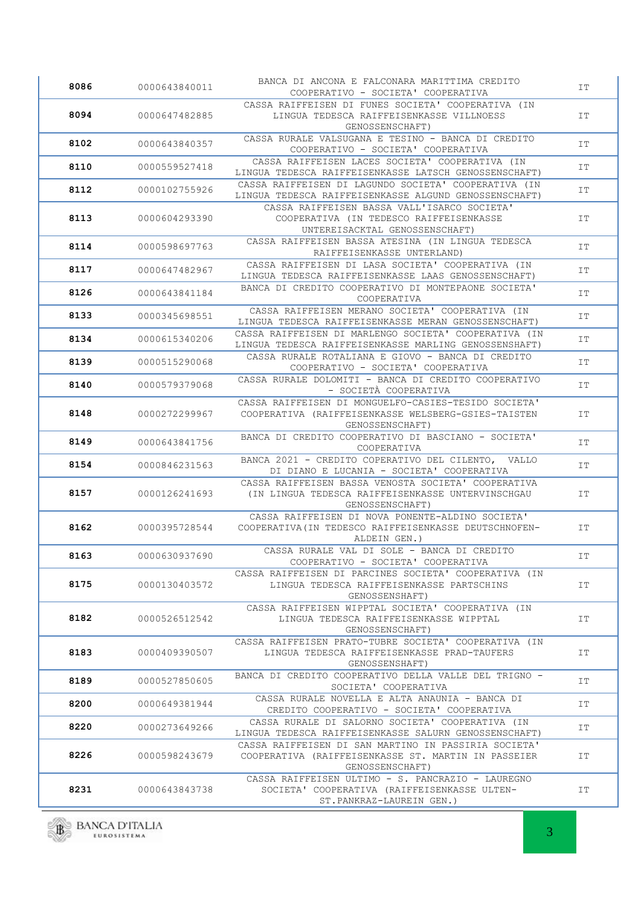| 8086 | 0000643840011 | BANCA DI ANCONA E FALCONARA MARITTIMA CREDITO<br>COOPERATIVO - SOCIETA' COOPERATIVA                                            | IT |
|------|---------------|--------------------------------------------------------------------------------------------------------------------------------|----|
| 8094 | 0000647482885 | CASSA RAIFFEISEN DI FUNES SOCIETA' COOPERATIVA (IN<br>LINGUA TEDESCA RAIFFEISENKASSE VILLNOESS<br>GENOSSENSCHAFT)              | IT |
| 8102 | 0000643840357 | CASSA RURALE VALSUGANA E TESINO - BANCA DI CREDITO<br>COOPERATIVO - SOCIETA' COOPERATIVA                                       | IT |
| 8110 | 0000559527418 | CASSA RAIFFEISEN LACES SOCIETA' COOPERATIVA (IN<br>LINGUA TEDESCA RAIFFEISENKASSE LATSCH GENOSSENSCHAFT)                       | IT |
| 8112 | 0000102755926 | CASSA RAIFFEISEN DI LAGUNDO SOCIETA' COOPERATIVA (IN<br>LINGUA TEDESCA RAIFFEISENKASSE ALGUND GENOSSENSCHAFT)                  | IT |
| 8113 | 0000604293390 | CASSA RAIFFEISEN BASSA VALL'ISARCO SOCIETA'<br>COOPERATIVA (IN TEDESCO RAIFFEISENKASSE<br>UNTEREISACKTAL GENOSSENSCHAFT)       | IT |
| 8114 | 0000598697763 | CASSA RAIFFEISEN BASSA ATESINA (IN LINGUA TEDESCA<br>RAIFFEISENKASSE UNTERLAND)                                                | IT |
| 8117 | 0000647482967 | CASSA RAIFFEISEN DI LASA SOCIETA' COOPERATIVA (IN<br>LINGUA TEDESCA RAIFFEISENKASSE LAAS GENOSSENSCHAFT)                       | IT |
| 8126 | 0000643841184 | BANCA DI CREDITO COOPERATIVO DI MONTEPAONE SOCIETA'<br>COOPERATIVA                                                             | IT |
| 8133 | 0000345698551 | CASSA RAIFFEISEN MERANO SOCIETA' COOPERATIVA (IN<br>LINGUA TEDESCA RAIFFEISENKASSE MERAN GENOSSENSCHAFT)                       | IT |
| 8134 | 0000615340206 | CASSA RAIFFEISEN DI MARLENGO SOCIETA' COOPERATIVA (IN<br>LINGUA TEDESCA RAIFFEISENKASSE MARLING GENOSSENSHAFT)                 | IT |
| 8139 | 0000515290068 | CASSA RURALE ROTALIANA E GIOVO - BANCA DI CREDITO<br>COOPERATIVO - SOCIETA' COOPERATIVA                                        | IT |
| 8140 | 0000579379068 | CASSA RURALE DOLOMITI - BANCA DI CREDITO COOPERATIVO<br>- SOCIETÀ COOPERATIVA                                                  | IT |
| 8148 | 0000272299967 | CASSA RAIFFEISEN DI MONGUELFO-CASIES-TESIDO SOCIETA'<br>COOPERATIVA (RAIFFEISENKASSE WELSBERG-GSIES-TAISTEN<br>GENOSSENSCHAFT) | IT |
| 8149 | 0000643841756 | BANCA DI CREDITO COOPERATIVO DI BASCIANO - SOCIETA'<br>COOPERATIVA                                                             | IT |
| 8154 | 0000846231563 | BANCA 2021 - CREDITO COPERATIVO DEL CILENTO, VALLO<br>DI DIANO E LUCANIA - SOCIETA' COOPERATIVA                                | IT |
| 8157 | 0000126241693 | CASSA RAIFFEISEN BASSA VENOSTA SOCIETA' COOPERATIVA<br>(IN LINGUA TEDESCA RAIFFEISENKASSE UNTERVINSCHGAU<br>GENOSSENSCHAFT)    | IT |
| 8162 | 0000395728544 | CASSA RAIFFEISEN DI NOVA PONENTE-ALDINO SOCIETA'<br>COOPERATIVA (IN TEDESCO RAIFFEISENKASSE DEUTSCHNOFEN-<br>ALDEIN GEN.)      | IT |
| 8163 | 0000630937690 | CASSA RURALE VAL DI SOLE - BANCA DI CREDITO<br>COOPERATIVO - SOCIETA' COOPERATIVA                                              | IT |
| 8175 | 0000130403572 | CASSA RAIFFEISEN DI PARCINES SOCIETA' COOPERATIVA (IN<br>LINGUA TEDESCA RAIFFEISENKASSE PARTSCHINS<br>GENOSSENSHAFT)           | IT |
| 8182 | 0000526512542 | CASSA RAIFFEISEN WIPPTAL SOCIETA' COOPERATIVA (IN<br>LINGUA TEDESCA RAIFFEISENKASSE WIPPTAL<br>GENOSSENSCHAFT)                 | IT |
| 8183 | 0000409390507 | CASSA RAIFFEISEN PRATO-TUBRE SOCIETA' COOPERATIVA (IN<br>LINGUA TEDESCA RAIFFEISENKASSE PRAD-TAUFERS<br>GENOSSENSHAFT)         | IT |
| 8189 | 0000527850605 | BANCA DI CREDITO COOPERATIVO DELLA VALLE DEL TRIGNO -<br>SOCIETA' COOPERATIVA                                                  | IT |
| 8200 | 0000649381944 | CASSA RURALE NOVELLA E ALTA ANAUNIA - BANCA DI<br>CREDITO COOPERATIVO - SOCIETA' COOPERATIVA                                   | IT |
| 8220 | 0000273649266 | CASSA RURALE DI SALORNO SOCIETA' COOPERATIVA (IN<br>LINGUA TEDESCA RAIFFEISENKASSE SALURN GENOSSENSCHAFT)                      | IT |
| 8226 | 0000598243679 | CASSA RAIFFEISEN DI SAN MARTINO IN PASSIRIA SOCIETA'<br>COOPERATIVA (RAIFFEISENKASSE ST. MARTIN IN PASSEIER<br>GENOSSENSCHAFT) | IT |
| 8231 | 0000643843738 | CASSA RAIFFEISEN ULTIMO - S. PANCRAZIO - LAUREGNO<br>SOCIETA' COOPERATIVA (RAIFFEISENKASSE ULTEN-<br>ST. PANKRAZ-LAUREIN GEN.) | IT |

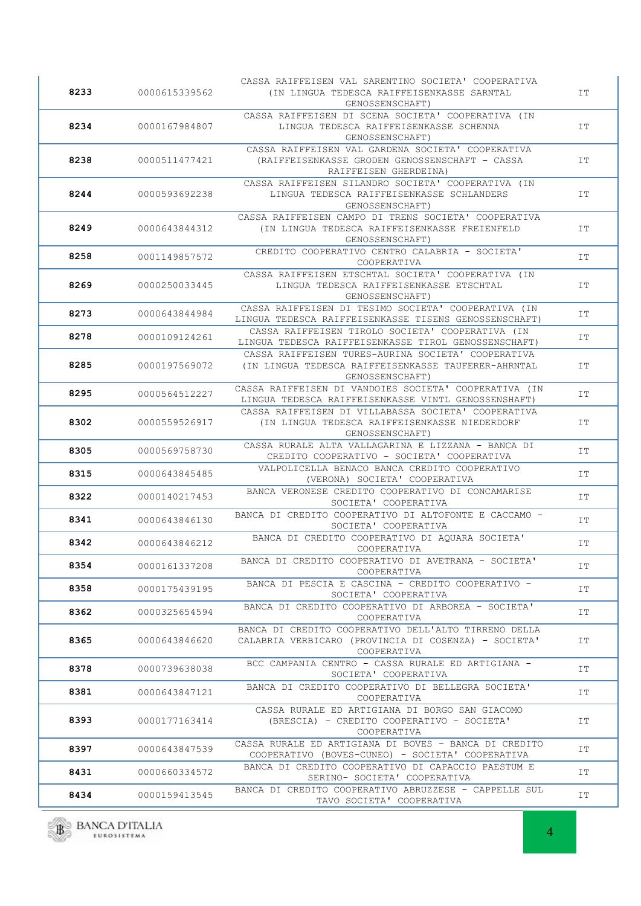| 8233 | 0000615339562 | CASSA RAIFFEISEN VAL SARENTINO SOCIETA' COOPERATIVA<br>(IN LINGUA TEDESCA RAIFFEISENKASSE SARNTAL<br>GENOSSENSCHAFT)         | IT |
|------|---------------|------------------------------------------------------------------------------------------------------------------------------|----|
| 8234 | 0000167984807 | CASSA RAIFFEISEN DI SCENA SOCIETA' COOPERATIVA (IN<br>LINGUA TEDESCA RAIFFEISENKASSE SCHENNA<br>GENOSSENSCHAFT)              | IT |
| 8238 | 0000511477421 | CASSA RAIFFEISEN VAL GARDENA SOCIETA' COOPERATIVA<br>(RAIFFEISENKASSE GRODEN GENOSSENSCHAFT - CASSA<br>RAIFFEISEN GHERDEINA) | IΤ |
| 8244 | 0000593692238 | CASSA RAIFFEISEN SILANDRO SOCIETA' COOPERATIVA (IN<br>LINGUA TEDESCA RAIFFEISENKASSE SCHLANDERS<br>GENOSSENSCHAFT)           | IT |
| 8249 | 0000643844312 | CASSA RAIFFEISEN CAMPO DI TRENS SOCIETA' COOPERATIVA<br>(IN LINGUA TEDESCA RAIFFEISENKASSE FREIENFELD<br>GENOSSENSCHAFT)     | IT |
| 8258 | 0001149857572 | CREDITO COOPERATIVO CENTRO CALABRIA - SOCIETA'<br>COOPERATIVA                                                                | IΤ |
| 8269 | 0000250033445 | CASSA RAIFFEISEN ETSCHTAL SOCIETA' COOPERATIVA (IN<br>LINGUA TEDESCA RAIFFEISENKASSE ETSCHTAL<br>GENOSSENSCHAFT)             | IT |
| 8273 | 0000643844984 | CASSA RAIFFEISEN DI TESIMO SOCIETA' COOPERATIVA (IN<br>LINGUA TEDESCA RAIFFEISENKASSE TISENS GENOSSENSCHAFT)                 | IT |
| 8278 | 0000109124261 | CASSA RAIFFEISEN TIROLO SOCIETA' COOPERATIVA (IN<br>LINGUA TEDESCA RAIFFEISENKASSE TIROL GENOSSENSCHAFT)                     | IT |
| 8285 | 0000197569072 | CASSA RAIFFEISEN TURES-AURINA SOCIETA' COOPERATIVA<br>(IN LINGUA TEDESCA RAIFFEISENKASSE TAUFERER-AHRNTAL<br>GENOSSENSCHAFT) | IT |
| 8295 | 0000564512227 | CASSA RAIFFEISEN DI VANDOIES SOCIETA' COOPERATIVA (IN<br>LINGUA TEDESCA RAIFFEISENKASSE VINTL GENOSSENSHAFT)                 | IT |
| 8302 | 0000559526917 | CASSA RAIFFEISEN DI VILLABASSA SOCIETA' COOPERATIVA<br>(IN LINGUA TEDESCA RAIFFEISENKASSE NIEDERDORF<br>GENOSSENSCHAFT)      | IΤ |
| 8305 | 0000569758730 | CASSA RURALE ALTA VALLAGARINA E LIZZANA - BANCA DI<br>CREDITO COOPERATIVO - SOCIETA' COOPERATIVA                             | IT |
| 8315 | 0000643845485 | VALPOLICELLA BENACO BANCA CREDITO COOPERATIVO<br>(VERONA) SOCIETA' COOPERATIVA                                               | IΤ |
| 8322 | 0000140217453 | BANCA VERONESE CREDITO COOPERATIVO DI CONCAMARISE<br>SOCIETA' COOPERATIVA                                                    | IT |
| 8341 | 0000643846130 | BANCA DI CREDITO COOPERATIVO DI ALTOFONTE E CACCAMO -<br>SOCIETA' COOPERATIVA                                                | IΤ |
| 8342 | 0000643846212 | BANCA DI CREDITO COOPERATIVO DI AQUARA SOCIETA'<br>COOPERATIVA                                                               | IΤ |
| 8354 | 0000161337208 | BANCA DI CREDITO COOPERATIVO DI AVETRANA - SOCIETA'<br>COOPERATIVA                                                           | IT |
| 8358 | 0000175439195 | BANCA DI PESCIA E CASCINA - CREDITO COOPERATIVO -<br>SOCIETA' COOPERATIVA                                                    | IT |
| 8362 | 0000325654594 | BANCA DI CREDITO COOPERATIVO DI ARBOREA - SOCIETA'<br>COOPERATIVA                                                            | IT |
| 8365 | 0000643846620 | BANCA DI CREDITO COOPERATIVO DELL'ALTO TIRRENO DELLA<br>CALABRIA VERBICARO (PROVINCIA DI COSENZA) - SOCIETA'<br>COOPERATIVA  | IT |
| 8378 | 0000739638038 | BCC CAMPANIA CENTRO - CASSA RURALE ED ARTIGIANA -<br>SOCIETA' COOPERATIVA                                                    | IT |
| 8381 | 0000643847121 | BANCA DI CREDITO COOPERATIVO DI BELLEGRA SOCIETA'<br>COOPERATIVA                                                             | IT |
| 8393 | 0000177163414 | CASSA RURALE ED ARTIGIANA DI BORGO SAN GIACOMO<br>(BRESCIA) - CREDITO COOPERATIVO - SOCIETA'<br>COOPERATIVA                  | IT |
| 8397 | 0000643847539 | CASSA RURALE ED ARTIGIANA DI BOVES - BANCA DI CREDITO<br>COOPERATIVO (BOVES-CUNEO) - SOCIETA' COOPERATIVA                    | IT |
| 8431 | 0000660334572 | BANCA DI CREDITO COOPERATIVO DI CAPACCIO PAESTUM E<br>SERINO- SOCIETA' COOPERATIVA                                           | IT |
| 8434 | 0000159413545 | BANCA DI CREDITO COOPERATIVO ABRUZZESE - CAPPELLE SUL<br>TAVO SOCIETA' COOPERATIVA                                           | IT |
|      |               |                                                                                                                              |    |

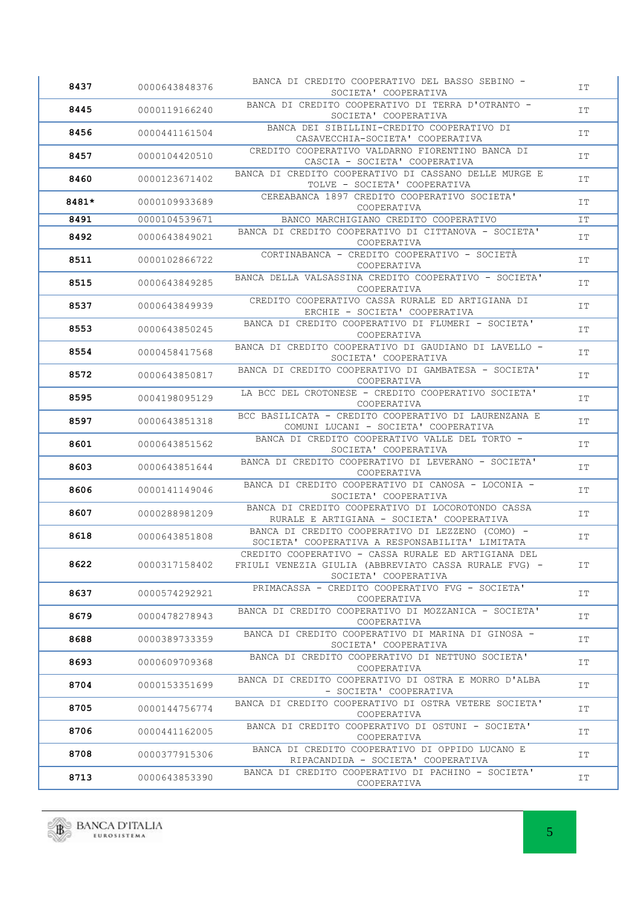| 8437  | 0000643848376 | BANCA DI CREDITO COOPERATIVO DEL BASSO SEBINO -<br>SOCIETA' COOPERATIVA                                      | IT        |
|-------|---------------|--------------------------------------------------------------------------------------------------------------|-----------|
| 8445  | 0000119166240 | BANCA DI CREDITO COOPERATIVO DI TERRA D'OTRANTO -<br>SOCIETA' COOPERATIVA                                    | IT        |
| 8456  | 0000441161504 | BANCA DEI SIBILLINI-CREDITO COOPERATIVO DI<br>CASAVECCHIA-SOCIETA' COOPERATIVA                               | IT        |
| 8457  | 0000104420510 | CREDITO COOPERATIVO VALDARNO FIORENTINO BANCA DI<br>CASCIA - SOCIETA' COOPERATIVA                            | IT        |
| 8460  | 0000123671402 | BANCA DI CREDITO COOPERATIVO DI CASSANO DELLE MURGE E<br>TOLVE - SOCIETA' COOPERATIVA                        | IT        |
| 8481* | 0000109933689 | CEREABANCA 1897 CREDITO COOPERATIVO SOCIETA'<br>COOPERATIVA                                                  | IT        |
| 8491  | 0000104539671 | BANCO MARCHIGIANO CREDITO COOPERATIVO                                                                        | IT        |
| 8492  | 0000643849021 | BANCA DI CREDITO COOPERATIVO DI CITTANOVA - SOCIETA'<br>COOPERATIVA                                          | IT        |
| 8511  | 0000102866722 | CORTINABANCA - CREDITO COOPERATIVO - SOCIETÀ<br>COOPERATIVA                                                  | IT        |
| 8515  | 0000643849285 | BANCA DELLA VALSASSINA CREDITO COOPERATIVO - SOCIETA'<br>COOPERATIVA                                         | IT        |
| 8537  | 0000643849939 | CREDITO COOPERATIVO CASSA RURALE ED ARTIGIANA DI<br>ERCHIE - SOCIETA' COOPERATIVA                            | IT        |
| 8553  | 0000643850245 | BANCA DI CREDITO COOPERATIVO DI FLUMERI - SOCIETA'<br>COOPERATIVA                                            | IT        |
| 8554  | 0000458417568 | BANCA DI CREDITO COOPERATIVO DI GAUDIANO DI LAVELLO -<br>SOCIETA' COOPERATIVA                                | IT        |
| 8572  | 0000643850817 | BANCA DI CREDITO COOPERATIVO DI GAMBATESA - SOCIETA'<br>COOPERATIVA                                          | IT        |
| 8595  | 0004198095129 | LA BCC DEL CROTONESE - CREDITO COOPERATIVO SOCIETA'<br>COOPERATIVA                                           | IT        |
| 8597  | 0000643851318 | BCC BASILICATA - CREDITO COOPERATIVO DI LAURENZANA E<br>COMUNI LUCANI - SOCIETA' COOPERATIVA                 | IT        |
| 8601  | 0000643851562 | BANCA DI CREDITO COOPERATIVO VALLE DEL TORTO -<br>SOCIETA' COOPERATIVA                                       | <b>IT</b> |
| 8603  | 0000643851644 | BANCA DI CREDITO COOPERATIVO DI LEVERANO - SOCIETA'<br>COOPERATIVA                                           | IT        |
| 8606  | 0000141149046 | BANCA DI CREDITO COOPERATIVO DI CANOSA - LOCONIA -<br>SOCIETA' COOPERATIVA                                   | IT        |
| 8607  | 0000288981209 | BANCA DI CREDITO COOPERATIVO DI LOCOROTONDO CASSA<br>RURALE E ARTIGIANA - SOCIETA' COOPERATIVA               | IT        |
| 8618  | 0000643851808 | BANCA DI CREDITO COOPERATIVO DI LEZZENO (COMO) -<br>SOCIETA' COOPERATIVA A RESPONSABILITA' LIMITATA          | IT        |
| 8622  | 0000317158402 | CREDITO COOPERATIVO - CASSA RURALE ED ARTIGIANA DEL<br>FRIULI VENEZIA GIULIA (ABBREVIATO CASSA RURALE FVG) - | IT        |
| 8637  | 0000574292921 | SOCIETA' COOPERATIVA<br>PRIMACASSA - CREDITO COOPERATIVO FVG - SOCIETA'                                      | IT        |
| 8679  | 0000478278943 | COOPERATIVA<br>BANCA DI CREDITO COOPERATIVO DI MOZZANICA - SOCIETA'                                          | IT        |
|       |               | COOPERATIVA<br>BANCA DI CREDITO COOPERATIVO DI MARINA DI GINOSA -                                            |           |
| 8688  | 0000389733359 | SOCIETA' COOPERATIVA<br>BANCA DI CREDITO COOPERATIVO DI NETTUNO SOCIETA'                                     | IT        |
| 8693  | 0000609709368 | COOPERATIVA<br>BANCA DI CREDITO COOPERATIVO DI OSTRA E MORRO D'ALBA                                          | IT        |
|       |               |                                                                                                              | IT        |
| 8704  | 0000153351699 | - SOCIETA' COOPERATIVA                                                                                       |           |
| 8705  | 0000144756774 | BANCA DI CREDITO COOPERATIVO DI OSTRA VETERE SOCIETA'<br>COOPERATIVA                                         | IT        |
| 8706  | 0000441162005 | BANCA DI CREDITO COOPERATIVO DI OSTUNI - SOCIETA'<br>COOPERATIVA                                             | IT        |
| 8708  | 0000377915306 | BANCA DI CREDITO COOPERATIVO DI OPPIDO LUCANO E<br>RIPACANDIDA - SOCIETA' COOPERATIVA                        | IT        |

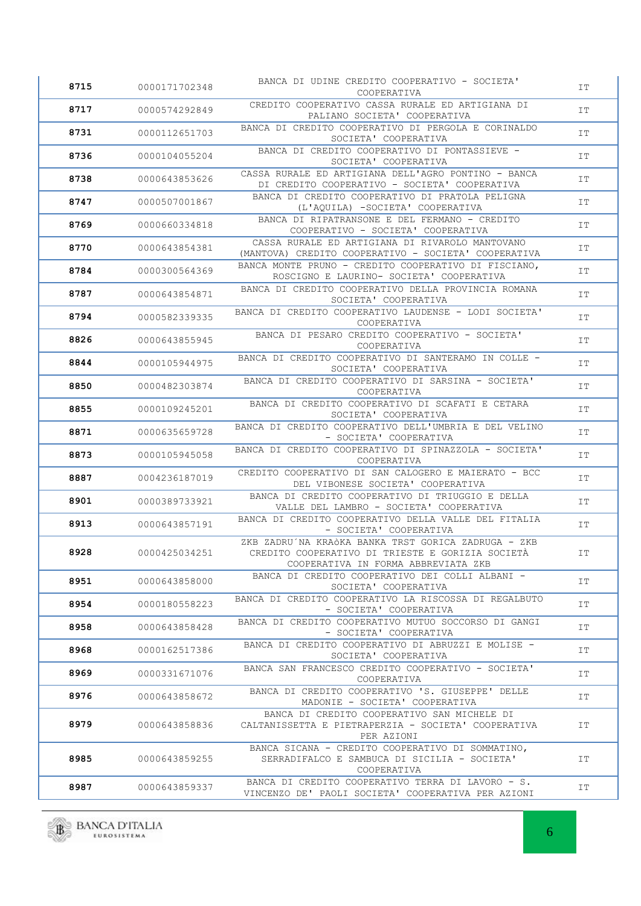| 8715 | 0000171702348 | BANCA DI UDINE CREDITO COOPERATIVO - SOCIETA'<br>COOPERATIVA                                                                                   | IΤ |
|------|---------------|------------------------------------------------------------------------------------------------------------------------------------------------|----|
| 8717 | 0000574292849 | CREDITO COOPERATIVO CASSA RURALE ED ARTIGIANA DI<br>PALIANO SOCIETA' COOPERATIVA                                                               | IT |
| 8731 | 0000112651703 | BANCA DI CREDITO COOPERATIVO DI PERGOLA E CORINALDO<br>SOCIETA' COOPERATIVA                                                                    | IT |
| 8736 | 0000104055204 | BANCA DI CREDITO COOPERATIVO DI PONTASSIEVE -<br>SOCIETA' COOPERATIVA                                                                          | IT |
| 8738 | 0000643853626 | CASSA RURALE ED ARTIGIANA DELL'AGRO PONTINO - BANCA<br>DI CREDITO COOPERATIVO - SOCIETA' COOPERATIVA                                           | IΤ |
| 8747 | 0000507001867 | BANCA DI CREDITO COOPERATIVO DI PRATOLA PELIGNA<br>(L'AQUILA) -SOCIETA' COOPERATIVA                                                            | IT |
| 8769 | 0000660334818 | BANCA DI RIPATRANSONE E DEL FERMANO - CREDITO<br>COOPERATIVO - SOCIETA' COOPERATIVA                                                            | IΤ |
| 8770 | 0000643854381 | CASSA RURALE ED ARTIGIANA DI RIVAROLO MANTOVANO<br>(MANTOVA) CREDITO COOPERATIVO - SOCIETA' COOPERATIVA                                        | IΤ |
| 8784 | 0000300564369 | BANCA MONTE PRUNO - CREDITO COOPERATIVO DI FISCIANO,<br>ROSCIGNO E LAURINO- SOCIETA' COOPERATIVA                                               | IT |
| 8787 | 0000643854871 | BANCA DI CREDITO COOPERATIVO DELLA PROVINCIA ROMANA<br>SOCIETA' COOPERATIVA                                                                    | IΤ |
| 8794 | 0000582339335 | BANCA DI CREDITO COOPERATIVO LAUDENSE - LODI SOCIETA'<br>COOPERATIVA                                                                           | IT |
| 8826 | 0000643855945 | BANCA DI PESARO CREDITO COOPERATIVO - SOCIETA'<br>COOPERATIVA                                                                                  | IΤ |
| 8844 | 0000105944975 | BANCA DI CREDITO COOPERATIVO DI SANTERAMO IN COLLE -<br>SOCIETA' COOPERATIVA                                                                   | IT |
| 8850 | 0000482303874 | BANCA DI CREDITO COOPERATIVO DI SARSINA - SOCIETA'<br>COOPERATIVA                                                                              | IΤ |
| 8855 | 0000109245201 | BANCA DI CREDITO COOPERATIVO DI SCAFATI E CETARA<br>SOCIETA' COOPERATIVA                                                                       | IT |
| 8871 | 0000635659728 | BANCA DI CREDITO COOPERATIVO DELL'UMBRIA E DEL VELINO<br>- SOCIETA' COOPERATIVA                                                                | IΤ |
| 8873 | 0000105945058 | BANCA DI CREDITO COOPERATIVO DI SPINAZZOLA - SOCIETA'<br>COOPERATIVA                                                                           | IΤ |
| 8887 | 0004236187019 | CREDITO COOPERATIVO DI SAN CALOGERO E MAIERATO - BCC<br>DEL VIBONESE SOCIETA' COOPERATIVA                                                      | IT |
| 8901 | 0000389733921 | BANCA DI CREDITO COOPERATIVO DI TRIUGGIO E DELLA<br>VALLE DEL LAMBRO - SOCIETA' COOPERATIVA                                                    | IΤ |
| 8913 | 0000643857191 | BANCA DI CREDITO COOPERATIVO DELLA VALLE DEL FITALIA<br>- SOCIETA' COOPERATIVA                                                                 | IT |
| 8928 | 0000425034251 | ZKB ZADRU´NA KRAÒKA BANKA TRST GORICA ZADRUGA - ZKB<br>CREDITO COOPERATIVO DI TRIESTE E GORIZIA SOCIETÀ<br>COOPERATIVA IN FORMA ABBREVIATA ZKB | IT |
| 8951 | 0000643858000 | BANCA DI CREDITO COOPERATIVO DEI COLLI ALBANI -<br>SOCIETA' COOPERATIVA                                                                        | IT |
| 8954 | 0000180558223 | BANCA DI CREDITO COOPERATIVO LA RISCOSSA DI REGALBUTO<br>- SOCIETA' COOPERATIVA                                                                | IT |
| 8958 | 0000643858428 | BANCA DI CREDITO COOPERATIVO MUTUO SOCCORSO DI GANGI<br>- SOCIETA' COOPERATIVA                                                                 | IT |
| 8968 | 0000162517386 | BANCA DI CREDITO COOPERATIVO DI ABRUZZI E MOLISE -<br>SOCIETA' COOPERATIVA                                                                     | IT |
| 8969 | 0000331671076 | BANCA SAN FRANCESCO CREDITO COOPERATIVO - SOCIETA'<br>COOPERATIVA                                                                              | IT |
| 8976 | 0000643858672 | BANCA DI CREDITO COOPERATIVO 'S. GIUSEPPE' DELLE<br>MADONIE - SOCIETA' COOPERATIVA                                                             | IT |
| 8979 | 0000643858836 | BANCA DI CREDITO COOPERATIVO SAN MICHELE DI<br>CALTANISSETTA E PIETRAPERZIA - SOCIETA' COOPERATIVA<br>PER AZIONI                               | IT |
| 8985 | 0000643859255 | BANCA SICANA - CREDITO COOPERATIVO DI SOMMATINO,<br>SERRADIFALCO E SAMBUCA DI SICILIA - SOCIETA'<br>COOPERATIVA                                | IT |
| 8987 | 0000643859337 | BANCA DI CREDITO COOPERATIVO TERRA DI LAVORO - S.<br>VINCENZO DE' PAOLI SOCIETA' COOPERATIVA PER AZIONI                                        | IT |

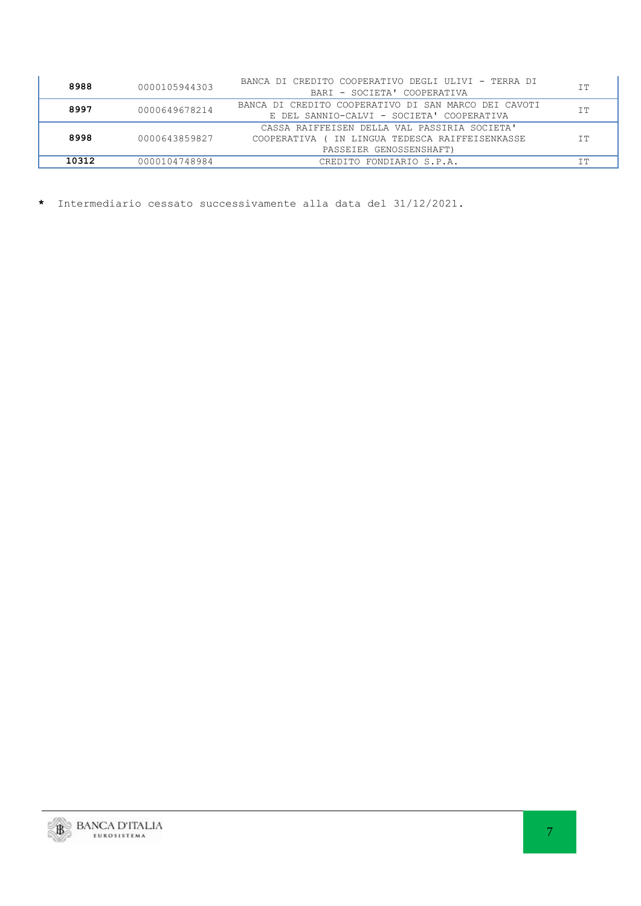| 8988  | 0000105944303 | BANCA DI CREDITO COOPERATIVO DEGLI ULIVI - TERRA DI<br>BARI - SOCIETA' COOPERATIVA                                              | TT.<br>ᆂᆂ |
|-------|---------------|---------------------------------------------------------------------------------------------------------------------------------|-----------|
| 8997  | 0000649678214 | BANCA DI CREDITO COOPERATIVO DI SAN MARCO DEI CAVOTI<br>E DEL SANNIO-CALVI - SOCIETA' COOPERATIVA                               | ΙT        |
| 8998  | 0000643859827 | CASSA RAIFFEISEN DELLA VAL PASSIRIA SOCIETA'<br>( IN LINGUA TEDESCA RAIFFEISENKASSE<br>COOPERATIVA (<br>PASSEIER GENOSSENSHAFT) | ΙT        |
| 10312 | 0000104748984 | CREDITO FONDIARIO S.P.A.                                                                                                        | ᅩᅩ        |

**\*** Intermediario cessato successivamente alla data del 31/12/2021.